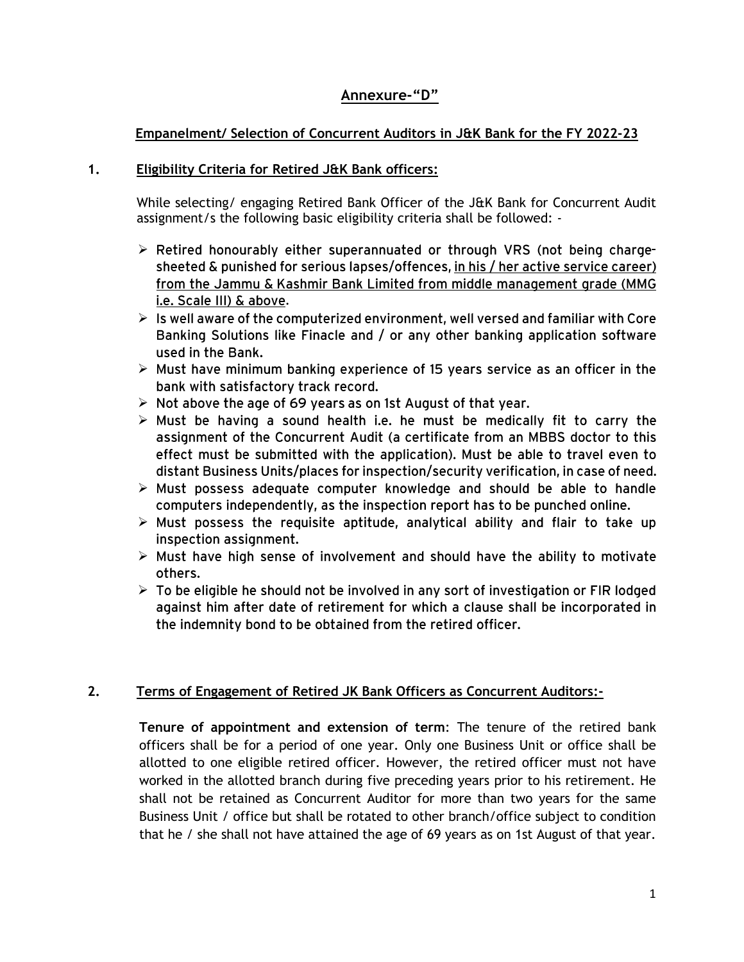## **Annexure-"D"**

## **Empanelment/ Selection of Concurrent Auditors in J&K Bank for the FY 2022-23**

#### **1. Eligibility Criteria for Retired J&K Bank officers:**

While selecting/ engaging Retired Bank Officer of the J&K Bank for Concurrent Audit assignment/s the following basic eligibility criteria shall be followed: -

- $\triangleright$  Retired honourably either superannuated or through VRS (not being chargesheeted & punished for serious lapses/offences, in his / her active service career) from the Jammu & Kashmir Bank Limited from middle management grade (MMG i.e. Scale III) & above.
- $\triangleright$  Is well aware of the computerized environment, well versed and familiar with Core Banking Solutions like Finacle and / or any other banking application software used in the Bank.
- $\triangleright$  Must have minimum banking experience of 15 years service as an officer in the bank with satisfactory track record.
- $\triangleright$  Not above the age of 69 years as on 1st August of that year.
- $\triangleright$  Must be having a sound health i.e. he must be medically fit to carry the assignment of the Concurrent Audit (a certificate from an MBBS doctor to this effect must be submitted with the application). Must be able to travel even to distant Business Units/places for inspection/security verification, in case of need.
- $\triangleright$  Must possess adequate computer knowledge and should be able to handle computers independently, as the inspection report has to be punched online.
- $\triangleright$  Must possess the requisite aptitude, analytical ability and flair to take up inspection assignment.
- $\triangleright$  Must have high sense of involvement and should have the ability to motivate others.
- $\triangleright$  To be eligible he should not be involved in any sort of investigation or FIR lodged against him after date of retirement for which a clause shall be incorporated in the indemnity bond to be obtained from the retired officer.

## **2. Terms of Engagement of Retired JK Bank Officers as Concurrent Auditors:-**

**Tenure of appointment and extension of term**: The tenure of the retired bank officers shall be for a period of one year. Only one Business Unit or office shall be allotted to one eligible retired officer. However, the retired officer must not have worked in the allotted branch during five preceding years prior to his retirement. He shall not be retained as Concurrent Auditor for more than two years for the same Business Unit / office but shall be rotated to other branch/office subject to condition that he / she shall not have attained the age of 69 years as on 1st August of that year.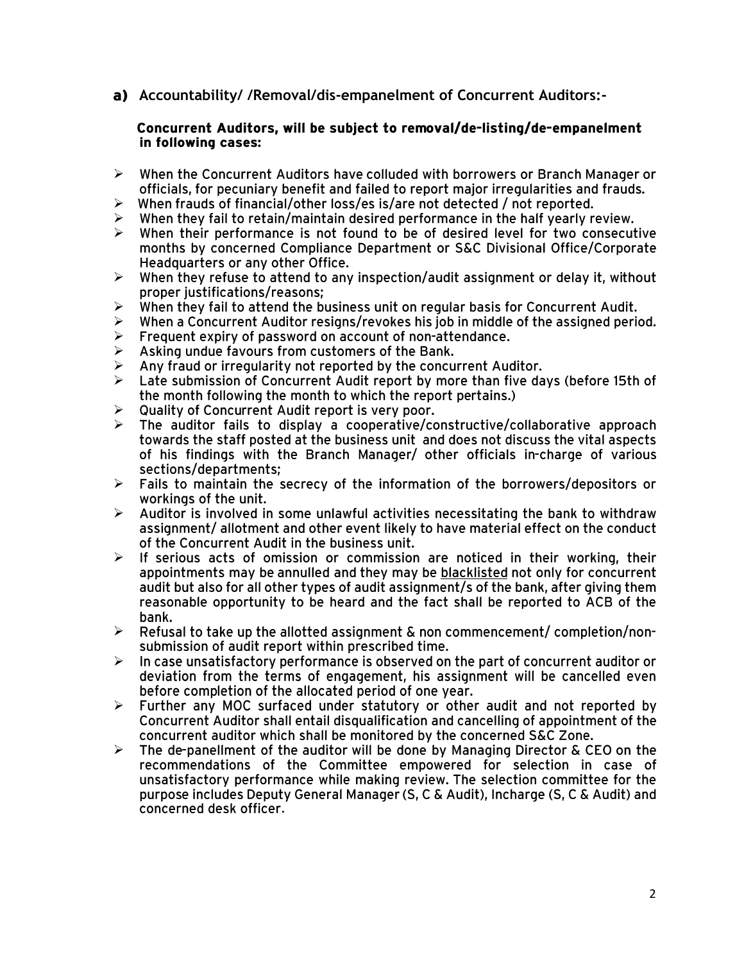**Accountability/ /Removal/dis-empanelment of Concurrent Auditors:-**

#### Concurrent Auditors, will be subject to removal/de-listing/de-empanelment in following cases:

- $\blacktriangleright$ When the Concurrent Auditors have colluded with borrowers or Branch Manager or officials, for pecuniary benefit and failed to report maior irregularities and frauds.
- When frauds of financial/other loss/es is/are not detected / not reported.  $\blacktriangleright$
- When they fail to retain/maintain desired performance in the half yearly review.  $\blacktriangleright$
- $\blacktriangleright$ When their performance is not found to be of desired level for two consecutive months by concerned Compliance Department or S&C Divisional Office/Corporate Headquarters or any other Office.
- $\blacktriangleright$ When they refuse to attend to any inspection/audit assignment or delay it, without proper justifications/reasons;
- When they fail to attend the business unit on regular basis for Concurrent Audit.  $\blacktriangleright$
- When a Concurrent Auditor resigns/revokes his job in middle of the assigned period.  $\blacktriangleright$
- $\blacktriangleright$ Frequent expiry of password on account of non-attendance.
- $\blacktriangle$ Asking undue favours from customers of the Bank.
- Any fraud or irregularity not reported by the concurrent Auditor.  $\blacktriangleright$
- $\blacktriangleright$ Late submission of Concurrent Audit report by more than five days (before 15th of the month following the month to which the report pertains.)
- $\blacktriangleright$ Quality of Concurrent Audit report is very poor.
- The auditor fails to display a cooperative/constructive/collaborative approach  $\blacktriangleright$ towards the staff posted at the business unit and does not discuss the vital aspects of his findings with the Branch Manager/ other officials in-charge of various sections/departments:
- $\blacktriangleright$ Fails to maintain the secrecy of the information of the borrowers/depositors or workings of the unit.
- $\blacktriangleright$ Auditor is involved in some unlawful activities necessitating the bank to withdraw assignment/ allotment and other event likely to have material effect on the conduct of the Concurrent Audit in the business unit.
- If serious acts of omission or commission are noticed in their working, their  $\blacktriangleright$ appointments may be annulled and they may be blacklisted not only for concurrent audit but also for all other types of audit assignment/s of the bank, after giving them reasonable opportunity to be heard and the fact shall be reported to ACB of the bank.
- $\triangleright$ Refusal to take up the allotted assignment & non commencement/ completion/nonsubmission of audit report within prescribed time.
- In case unsatisfactory performance is observed on the part of concurrent auditor or  $\blacktriangleright$ deviation from the terms of engagement, his assignment will be cancelled even before completion of the allocated period of one year.
- Further any MOC surfaced under statutory or other audit and not reported by  $\blacktriangleright$ Concurrent Auditor shall entail disqualification and cancelling of appointment of the concurrent auditor which shall be monitored by the concerned S&C Zone.
- $\blacktriangleright$ The de-panellment of the auditor will be done by Managing Director & CEO on the recommendations of the Committee empowered for selection in case of unsatisfactory performance while making review. The selection committee for the purpose includes Deputy General Manager (S, C & Audit), Incharge (S, C & Audit) and concerned desk officer.